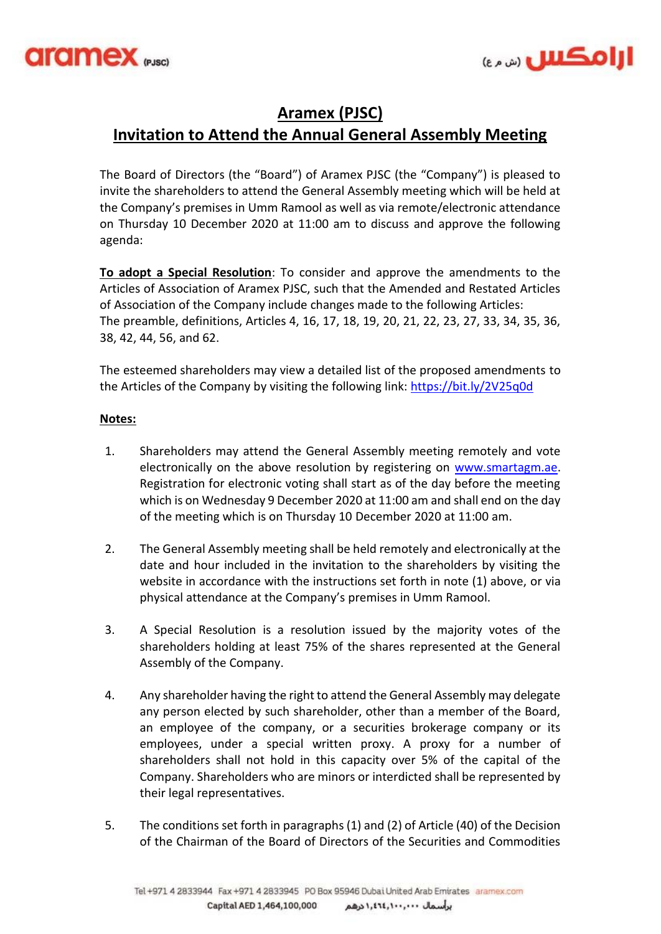



## **Aramex (PJSC)**

## **Invitation to Attend the Annual General Assembly Meeting**

The Board of Directors (the "Board") of Aramex PJSC (the "Company") is pleased to invite the shareholders to attend the General Assembly meeting which will be held at the Company's premises in Umm Ramool as well as via remote/electronic attendance on Thursday 10 December 2020 at 11:00 am to discuss and approve the following agenda:

**To adopt a Special Resolution**: To consider and approve the amendments to the Articles of Association of Aramex PJSC, such that the Amended and Restated Articles of Association of the Company include changes made to the following Articles: The preamble, definitions, Articles 4, 16, 17, 18, 19, 20, 21, 22, 23, 27, 33, 34, 35, 36, 38, 42, 44, 56, and 62.

The esteemed shareholders may view a detailed list of the proposed amendments to the Articles of the Company by visiting the following link:<https://bit.ly/2V25q0d>

## **Notes:**

- 1. Shareholders may attend the General Assembly meeting remotely and vote electronically on the above resolution by registering on [www.smartagm.ae.](http://www.smartagm.ae/) Registration for electronic voting shall start as of the day before the meeting which is on Wednesday 9 December 2020 at 11:00 am and shall end on the day of the meeting which is on Thursday 10 December 2020 at 11:00 am.
- 2. The General Assembly meeting shall be held remotely and electronically at the date and hour included in the invitation to the shareholders by visiting the website in accordance with the instructions set forth in note (1) above, or via physical attendance at the Company's premises in Umm Ramool.
- 3. A Special Resolution is a resolution issued by the majority votes of the shareholders holding at least 75% of the shares represented at the General Assembly of the Company.
- 4. Any shareholder having the right to attend the General Assembly may delegate any person elected by such shareholder, other than a member of the Board, an employee of the company, or a securities brokerage company or its employees, under a special written proxy. A proxy for a number of shareholders shall not hold in this capacity over 5% of the capital of the Company. Shareholders who are minors or interdicted shall be represented by their legal representatives.
- 5. The conditions set forth in paragraphs (1) and (2) of Article (40) of the Decision of the Chairman of the Board of Directors of the Securities and Commodities